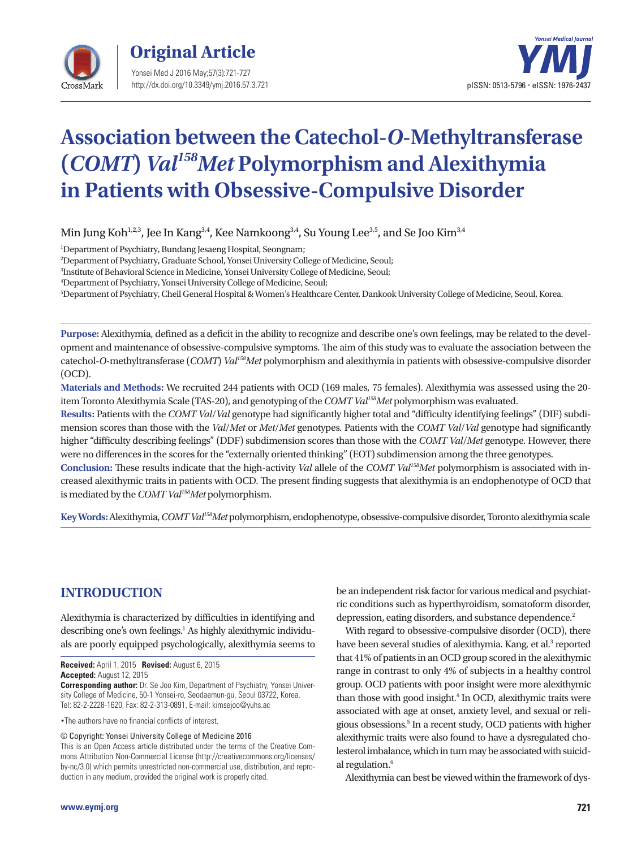



# **Association between the Catechol-***O***-Methyltransferase (***COMT***)** *Val158Met* **Polymorphism and Alexithymia in Patients with Obsessive-Compulsive Disorder**

Min Jung Koh<sup>1,2,3</sup>, Jee In Kang<sup>3,4</sup>, Kee Namkoong<sup>3,4</sup>, Su Young Lee<sup>3,5</sup>, and Se Joo Kim<sup>3,4</sup>

1 Department of Psychiatry, Bundang Jesaeng Hospital, Seongnam;

2 Department of Psychiatry, Graduate School, Yonsei University College of Medicine, Seoul;

3 Institute of Behavioral Science in Medicine, Yonsei University College of Medicine, Seoul;

4 Department of Psychiatry, Yonsei University College of Medicine, Seoul;

5 Department of Psychiatry, Cheil General Hospital & Women's Healthcare Center, Dankook University College of Medicine, Seoul, Korea.

**Purpose:** Alexithymia, defined as a deficit in the ability to recognize and describe one's own feelings, may be related to the development and maintenance of obsessive-compulsive symptoms. The aim of this study was to evaluate the association between the catechol-*O*-methyltransferase (*COMT*) *Val158Met* polymorphism and alexithymia in patients with obsessive-compulsive disorder (OCD).

**Materials and Methods:** We recruited 244 patients with OCD (169 males, 75 females). Alexithymia was assessed using the 20 item Toronto Alexithymia Scale (TAS-20), and genotyping of the *COMT Val158Met* polymorphism was evaluated.

**Results:** Patients with the *COMT Val*/*Val* genotype had significantly higher total and "difficulty identifying feelings" (DIF) subdimension scores than those with the *Val*/*Met* or *Met*/*Met* genotypes. Patients with the *COMT Val*/*Val* genotype had significantly higher "difficulty describing feelings" (DDF) subdimension scores than those with the *COMT Val*/*Met* genotype. However, there were no differences in the scores for the "externally oriented thinking" (EOT) subdimension among the three genotypes.

**Conclusion:** These results indicate that the high-activity *Val* allele of the *COMT Val158Met* polymorphism is associated with increased alexithymic traits in patients with OCD. The present finding suggests that alexithymia is an endophenotype of OCD that is mediated by the *COMT Val158Met* polymorphism.

**Key Words:**Alexithymia, *COMT Val158Met* polymorphism, endophenotype, obsessive-compulsive disorder, Toronto alexithymia scale

# **INTRODUCTION**

Alexithymia is characterized by difficulties in identifying and describing one's own feelings.<sup>1</sup> As highly alexithymic individuals are poorly equipped psychologically, alexithymia seems to

**Received:** April 1, 2015 **Revised:** August 6, 2015 **Accepted:** August 12, 2015

**Corresponding author:** Dr. Se Joo Kim, Department of Psychiatry, Yonsei University College of Medicine, 50-1 Yonsei-ro, Seodaemun-gu, Seoul 03722, Korea. Tel: 82-2-2228-1620, Fax: 82-2-313-0891, E-mail: kimsejoo@yuhs.ac

•The authors have no financial conflicts of interest.

© Copyright: Yonsei University College of Medicine 2016

This is an Open Access article distributed under the terms of the Creative Commons Attribution Non-Commercial License (http://creativecommons.org/licenses/ by-nc/3.0) which permits unrestricted non-commercial use, distribution, and reproduction in any medium, provided the original work is properly cited.

be an independent risk factor for various medical and psychiatric conditions such as hyperthyroidism, somatoform disorder, depression, eating disorders, and substance dependence.<sup>2</sup>

With regard to obsessive-compulsive disorder (OCD), there have been several studies of alexithymia. Kang, et al.<sup>3</sup> reported that 41% of patients in an OCD group scored in the alexithymic range in contrast to only 4% of subjects in a healthy control group. OCD patients with poor insight were more alexithymic than those with good insight.<sup>4</sup> In OCD, alexithymic traits were associated with age at onset, anxiety level, and sexual or religious obsessions.<sup>5</sup> In a recent study, OCD patients with higher alexithymic traits were also found to have a dysregulated cholesterol imbalance, which in turn may be associated with suicidal regulation.<sup>6</sup>

Alexithymia can best be viewed within the framework of dys-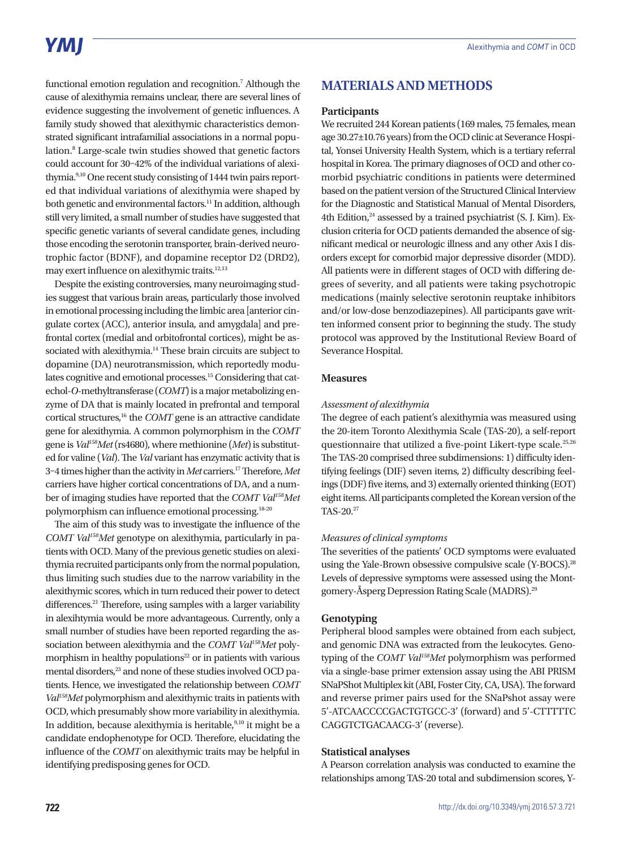functional emotion regulation and recognition.<sup>7</sup> Although the cause of alexithymia remains unclear, there are several lines of evidence suggesting the involvement of genetic influences. A family study showed that alexithymic characteristics demonstrated significant intrafamilial associations in a normal population.<sup>8</sup> Large-scale twin studies showed that genetic factors could account for 30–42% of the individual variations of alexithymia.9,10 One recent study consisting of 1444 twin pairs reported that individual variations of alexithymia were shaped by both genetic and environmental factors.<sup>11</sup> In addition, although still very limited, a small number of studies have suggested that specific genetic variants of several candidate genes, including those encoding the serotonin transporter, brain-derived neurotrophic factor (BDNF), and dopamine receptor D2 (DRD2), may exert influence on alexithymic traits.12,13

Despite the existing controversies, many neuroimaging studies suggest that various brain areas, particularly those involved in emotional processing including the limbic area [anterior cingulate cortex (ACC), anterior insula, and amygdala] and prefrontal cortex (medial and orbitofrontal cortices), might be associated with alexithymia.<sup>14</sup> These brain circuits are subject to dopamine (DA) neurotransmission, which reportedly modulates cognitive and emotional processes.15 Considering that catechol-*O*-methyltransferase (*COMT*) is a major metabolizing enzyme of DA that is mainly located in prefrontal and temporal cortical structures,16 the *COMT* gene is an attractive candidate gene for alexithymia. A common polymorphism in the *COMT* gene is *Val158Met* (rs4680), where methionine (*Met*) is substituted for valine (*Val*). The *Val* variant has enzymatic activity that is 3–4 times higher than the activity in *Met* carriers.17 Therefore, *Met* carriers have higher cortical concentrations of DA, and a number of imaging studies have reported that the *COMT Val158Met* polymorphism can influence emotional processing.18-20

The aim of this study was to investigate the influence of the *COMT Val158Met* genotype on alexithymia, particularly in patients with OCD. Many of the previous genetic studies on alexithymia recruited participants only from the normal population, thus limiting such studies due to the narrow variability in the alexithymic scores, which in turn reduced their power to detect differences.<sup>21</sup> Therefore, using samples with a larger variability in alexihtymia would be more advantageous. Currently, only a small number of studies have been reported regarding the association between alexithymia and the *COMT Val158Met* polymorphism in healthy populations $22$  or in patients with various mental disorders,<sup>23</sup> and none of these studies involved OCD patients. Hence, we investigated the relationship between *COMT Val158Met* polymorphism and alexithymic traits in patients with OCD, which presumably show more variability in alexithymia. In addition, because alexithymia is heritable,<sup>9,10</sup> it might be a candidate endophenotype for OCD. Therefore, elucidating the influence of the *COMT* on alexithymic traits may be helpful in identifying predisposing genes for OCD.

# **MATERIALS AND METHODS**

## **Participants**

We recruited 244 Korean patients (169 males, 75 females, mean age 30.27±10.76 years) from the OCD clinic at Severance Hospital, Yonsei University Health System, which is a tertiary referral hospital in Korea. The primary diagnoses of OCD and other comorbid psychiatric conditions in patients were determined based on the patient version of the Structured Clinical Interview for the Diagnostic and Statistical Manual of Mental Disorders, 4th Edition, $24$  assessed by a trained psychiatrist (S. J. Kim). Exclusion criteria for OCD patients demanded the absence of significant medical or neurologic illness and any other Axis I disorders except for comorbid major depressive disorder (MDD). All patients were in different stages of OCD with differing degrees of severity, and all patients were taking psychotropic medications (mainly selective serotonin reuptake inhibitors and/or low-dose benzodiazepines). All participants gave written informed consent prior to beginning the study. The study protocol was approved by the Institutional Review Board of Severance Hospital.

## **Measures**

## *Assessment of alexithymia*

The degree of each patient's alexithymia was measured using the 20-item Toronto Alexithymia Scale (TAS-20), a self-report questionnaire that utilized a five-point Likert-type scale.<sup>25,26</sup> The TAS-20 comprised three subdimensions: 1) difficulty identifying feelings (DIF) seven items, 2) difficulty describing feelings (DDF) five items, and 3) externally oriented thinking (EOT) eight items. All participants completed the Korean version of the TAS-20.<sup>27</sup>

#### *Measures of clinical symptoms*

The severities of the patients' OCD symptoms were evaluated using the Yale-Brown obsessive compulsive scale (Y-BOCS).28 Levels of depressive symptoms were assessed using the Montgomery-Åsperg Depression Rating Scale (MADRS).29

## **Genotyping**

Peripheral blood samples were obtained from each subject, and genomic DNA was extracted from the leukocytes. Genotyping of the *COMT Val158Met* polymorphism was performed via a single-base primer extension assay using the ABI PRISM SNaPShot Multiplex kit (ABI, Foster City, CA, USA). The forward and reverse primer pairs used for the SNaPshot assay were 5'-ATCAACCCCGACTGTGCC-3' (forward) and 5'-CTTTTTC CAGGTCTGACAACG-3' (reverse).

## **Statistical analyses**

A Pearson correlation analysis was conducted to examine the relationships among TAS-20 total and subdimension scores, Y-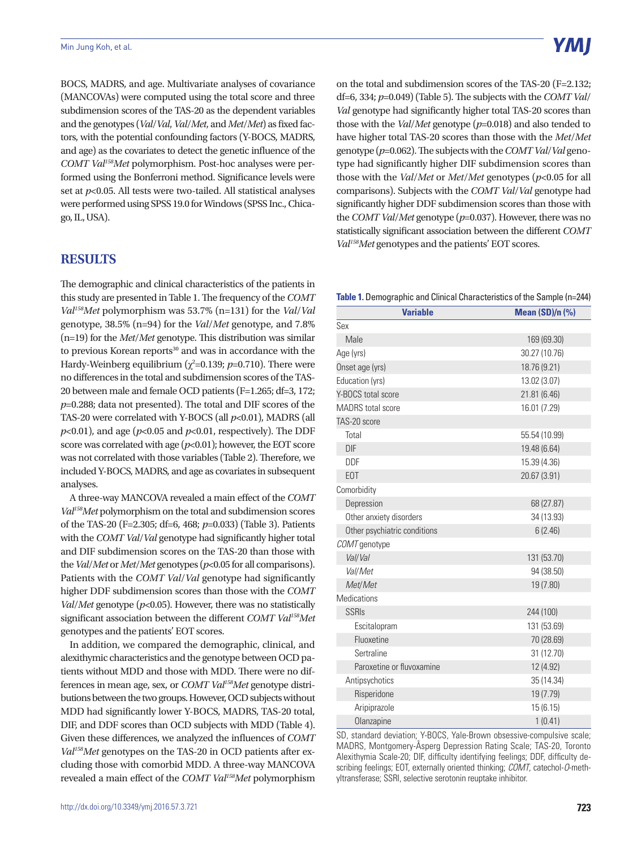BOCS, MADRS, and age. Multivariate analyses of covariance (MANCOVAs) were computed using the total score and three subdimension scores of the TAS-20 as the dependent variables and the genotypes (*Val*/*Val*, *Val*/*Met*, and *Met*/*Met*) as fixed factors, with the potential confounding factors (Y-BOCS, MADRS, and age) as the covariates to detect the genetic influence of the *COMT Val158Met* polymorphism. Post-hoc analyses were performed using the Bonferroni method. Significance levels were set at *p*<0.05. All tests were two-tailed. All statistical analyses were performed using SPSS 19.0 for Windows (SPSS Inc., Chicago, IL, USA).

## **RESULTS**

The demographic and clinical characteristics of the patients in this study are presented in Table 1. The frequency of the *COMT Val158Met* polymorphism was 53.7% (n=131) for the *Val*/*Val*  genotype, 38.5% (n=94) for the *Val*/*Met* genotype, and 7.8% (n=19) for the *Met*/*Met* genotype. This distribution was similar to previous Korean reports<sup>30</sup> and was in accordance with the Hardy-Weinberg equilibrium  $(\chi^2=0.139; p=0.710)$ . There were no differences in the total and subdimension scores of the TAS-20 between male and female OCD patients (F=1.265; df=3, 172; *p*=0.288; data not presented). The total and DIF scores of the TAS-20 were correlated with Y-BOCS (all  $p<0.01$ ), MADRS (all *p*<0.01), and age (*p*<0.05 and *p*<0.01, respectively). The DDF score was correlated with age ( $p$ <0.01); however, the EOT score was not correlated with those variables (Table 2). Therefore, we included Y-BOCS, MADRS, and age as covariates in subsequent analyses.

A three-way MANCOVA revealed a main effect of the *COMT Val158Met* polymorphism on the total and subdimension scores of the TAS-20 (F=2.305; df=6, 468; *p*=0.033) (Table 3). Patients with the *COMT Val*/*Val* genotype had significantly higher total and DIF subdimension scores on the TAS-20 than those with the *Val*/*Met* or *Met*/*Met* genotypes (*p*<0.05 for all comparisons). Patients with the *COMT Val*/*Val* genotype had significantly higher DDF subdimension scores than those with the *COMT Val*/*Met* genotype (*p*<0.05). However, there was no statistically significant association between the different *COMT Val158Met* genotypes and the patients' EOT scores.

In addition, we compared the demographic, clinical, and alexithymic characteristics and the genotype between OCD patients without MDD and those with MDD. There were no differences in mean age, sex, or *COMT Val158Met* genotype distributions between the two groups. However, OCD subjects without MDD had significantly lower Y-BOCS, MADRS, TAS-20 total, DIF, and DDF scores than OCD subjects with MDD (Table 4). Given these differences, we analyzed the influences of *COMT Val158Met* genotypes on the TAS-20 in OCD patients after excluding those with comorbid MDD. A three-way MANCOVA revealed a main effect of the *COMT Val158Met* polymorphism

on the total and subdimension scores of the TAS-20 (F=2.132; df=6, 334; *p*=0.049) (Table 5). The subjects with the *COMT Val*/ *Val* genotype had significantly higher total TAS-20 scores than those with the *Val*/*Met* genotype (*p*=0.018) and also tended to have higher total TAS-20 scores than those with the *Met*/*Met* genotype (*p*=0.062). The subjects with the *COMT Val*/*Val* genotype had significantly higher DIF subdimension scores than those with the *Val*/*Met* or *Met*/*Met* genotypes (*p*<0.05 for all comparisons). Subjects with the *COMT Val*/*Val* genotype had significantly higher DDF subdimension scores than those with the *COMT Val*/*Met* genotype (*p*=0.037). However, there was no statistically significant association between the different *COMT Val158Met* genotypes and the patients' EOT scores.

**Table 1.** Demographic and Clinical Characteristics of the Sample (n=244)

| <b>Variable</b>              | <b>Mean (SD)/n (%)</b> |  |
|------------------------------|------------------------|--|
| Sex                          |                        |  |
| Male                         | 169 (69.30)            |  |
| Age (yrs)                    | 30.27 (10.76)          |  |
| Onset age (yrs)              | 18.76 (9.21)           |  |
| Education (yrs)              | 13.02 (3.07)           |  |
| Y-BOCS total score           | 21.81 (6.46)           |  |
| <b>MADRS</b> total score     | 16.01 (7.29)           |  |
| TAS-20 score                 |                        |  |
| Total                        | 55.54 (10.99)          |  |
| <b>DIF</b>                   | 19.48 (6.64)           |  |
| <b>DDF</b>                   | 15.39 (4.36)           |  |
| EOT                          | 20.67 (3.91)           |  |
| Comorbidity                  |                        |  |
| Depression                   | 68 (27.87)             |  |
| Other anxiety disorders      | 34 (13.93)             |  |
| Other psychiatric conditions | 6(2.46)                |  |
| COMT genotype                |                        |  |
| Val/Val                      | 131 (53.70)            |  |
| Val/Met                      | 94 (38.50)             |  |
| Met/Met                      | 19 (7.80)              |  |
| <b>Medications</b>           |                        |  |
| <b>SSRIS</b>                 | 244 (100)              |  |
| Escitalopram                 | 131 (53.69)            |  |
| Fluoxetine                   | 70 (28.69)             |  |
| Sertraline                   | 31 (12.70)             |  |
| Paroxetine or fluvoxamine    | 12 (4.92)              |  |
| Antipsychotics               | 35 (14.34)             |  |
| Risperidone                  | 19 (7.79)              |  |
| Aripiprazole<br>15(6.15)     |                        |  |
| Olanzapine                   | 1(0.41)                |  |

SD, standard deviation; Y-BOCS, Yale-Brown obsessive-compulsive scale; MADRS, Montgomery-Åsperg Depression Rating Scale; TAS-20, Toronto Alexithymia Scale-20; DIF, difficulty identifying feelings; DDF, difficulty describing feelings; EOT, externally oriented thinking; *COMT*, catechol-*O*-methyltransferase; SSRI, selective serotonin reuptake inhibitor.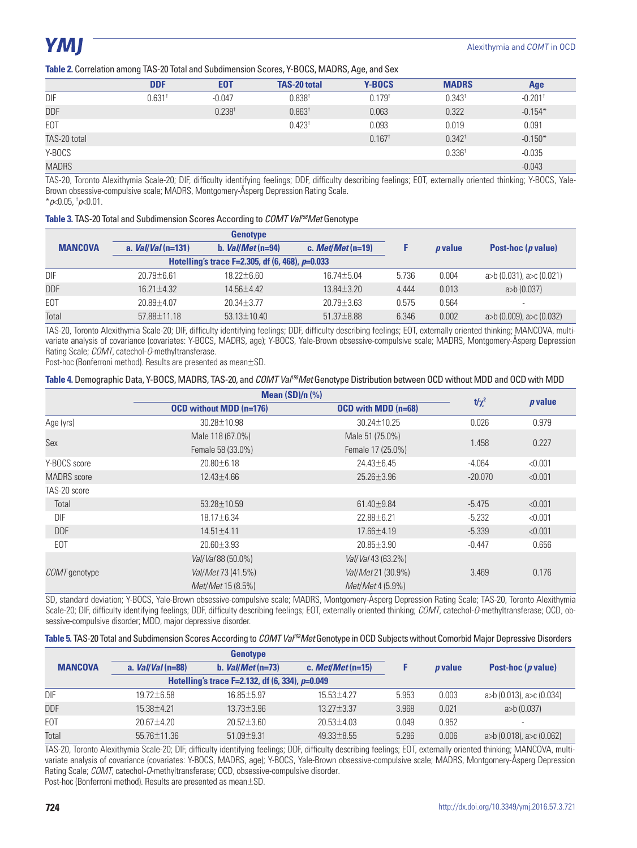**Table 2.** Correlation among TAS-20 Total and Subdimension Scores, Y-BOCS, MADRS, Age, and Sex

| . .              |                                  |                      |                      |                       |
|------------------|----------------------------------|----------------------|----------------------|-----------------------|
| E <sub>0</sub> T | <b>TAS-20 total</b>              | <b>Y-BOCS</b>        | <b>MADRS</b>         | Age                   |
| $-0.047$         | 0.838 <sup>†</sup>               | $0.179^{t}$          | $0.343$ <sup>t</sup> | $-0.201$ <sup>t</sup> |
| $0.238^{+}$      | 0.863 <sup>†</sup>               | 0.063                | 0.322                | $-0.154*$             |
|                  | $0.423^{+}$                      | 0.093                | 0.019                | 0.091                 |
|                  |                                  | $0.167$ <sup>t</sup> | $0.342^{\dagger}$    | $-0.150*$             |
|                  |                                  |                      | 0.336 <sup>†</sup>   | $-0.035$              |
|                  |                                  |                      |                      | $-0.043$              |
|                  | <b>DDF</b><br>0.631 <sup>†</sup> |                      |                      |                       |

TAS-20, Toronto Alexithymia Scale-20; DIF, difficulty identifying feelings; DDF, difficulty describing feelings; EOT, externally oriented thinking; Y-BOCS, Yale-Brown obsessive-compulsive scale; MADRS, Montgomery-Åsperg Depression Rating Scale.

\**p*<0.05, † *p*<0.01.

#### **Table 3.** TAS-20 Total and Subdimension Scores According to *COMT Val158Met* Genotype

|                | <b>Genotype</b>     |                                                   |                    |       |                |                             |
|----------------|---------------------|---------------------------------------------------|--------------------|-------|----------------|-----------------------------|
| <b>MANCOVA</b> | a. $Val/Val(n=131)$ | b. $Val/Met(n=94)$                                | c. $MetMet$ (n=19) |       | <i>p</i> value | Post-hoc ( <i>p</i> value)  |
|                |                     | Hotelling's trace F=2.305, df (6, 468), $p=0.033$ |                    |       |                |                             |
| DIF            | $20.79 + 6.61$      | $18.22 + 6.60$                                    | $16.74 + 5.04$     | 5.736 | 0.004          | $a>b(0.031)$ , $a>c(0.021)$ |
| <b>DDF</b>     | $16.21 + 4.32$      | $14.56 + 4.42$                                    | $13.84 \pm 3.20$   | 4.444 | 0.013          | a>b(0.037)                  |
| EOT            | $20.89 + 4.07$      | $20.34 + 3.77$                                    | $20.79 + 3.63$     | 0.575 | 0.564          | ۰                           |
| Total          | 57.88±11.18         | $53.13 \pm 10.40$                                 | $51.37 \pm 8.88$   | 6.346 | 0.002          | $a>b(0.009)$ , $a>c(0.032)$ |

TAS-20, Toronto Alexithymia Scale-20; DIF, difficulty identifying feelings; DDF, difficulty describing feelings; EOT, externally oriented thinking; MANCOVA, multivariate analysis of covariance (covariates: Y-BOCS, MADRS, age); Y-BOCS, Yale-Brown obsessive-compulsive scale; MADRS, Montgomery-Åsperg Depression Rating Scale; *COMT*, catechol-*O*-methyltransferase.

Post-hoc (Bonferroni method). Results are presented as mean±SD.

#### **Table 4.** Demographic Data, Y-BOCS, MADRS, TAS-20, and *COMT Val158Met* Genotype Distribution between OCD without MDD and OCD with MDD

|                      | Mean $(SD)/n$ $(\%)$           |                            |            |           |  |
|----------------------|--------------------------------|----------------------------|------------|-----------|--|
|                      | <b>OCD</b> without MDD (n=176) | <b>OCD</b> with MDD (n=68) | $t/\chi^2$ | $p$ value |  |
| Age (yrs)            | 30.28±10.98                    | $30.24 + 10.25$            | 0.026      | 0.979     |  |
|                      | Male 118 (67.0%)               | Male 51 (75.0%)            | 1.458      |           |  |
| Sex                  | Female 58 (33.0%)              | Female 17 (25.0%)          |            | 0.227     |  |
| Y-BOCS score         | $20.80 \pm 6.18$               | $24.43 \pm 6.45$           | $-4.064$   | < 0.001   |  |
| <b>MADRS</b> score   | 12.43±4.66                     | $25.26 \pm 3.96$           | $-20.070$  | < 0.001   |  |
| TAS-20 score         |                                |                            |            |           |  |
| Total                | 53.28±10.59                    | $61.40 \pm 9.84$           | $-5.475$   | < 0.001   |  |
| DIF                  | 18.17±6.34                     | 22.88±6.21                 | $-5.232$   | < 0.001   |  |
| <b>DDF</b>           | $14.51 \pm 4.11$               | 17.66±4.19                 | $-5.339$   | < 0.001   |  |
| EOT                  | $20.60 \pm 3.93$               | $20.85 \pm 3.90$           | $-0.447$   | 0.656     |  |
|                      | Vall Val 88 (50.0%)            | Vall Val 43 (63.2%)        |            |           |  |
| <i>COMT</i> genotype | Val/Met 73 (41.5%)             | Val/Met 21 (30.9%)         | 3.469      | 0.176     |  |
|                      | <i>Met/Met</i> 15 (8.5%)       | <i>Met/Met</i> 4 (5.9%)    |            |           |  |

SD, standard deviation; Y-BOCS, Yale-Brown obsessive-compulsive scale; MADRS, Montgomery-Åsperg Depression Rating Scale; TAS-20, Toronto Alexithymia Scale-20; DIF, difficulty identifying feelings; DDF, difficulty describing feelings; EOT, externally oriented thinking; *COMT*, catechol-*O*-methyltransferase; OCD, obsessive-compulsive disorder; MDD, major depressive disorder.

| Table 5. TAS-20 Total and Subdimension Scores According to <i>COMT Val<sup>rss</sup>Met</i> Genotype in OCD Subjects without Comorbid Major Depressive Disorders |  |  |
|------------------------------------------------------------------------------------------------------------------------------------------------------------------|--|--|
|                                                                                                                                                                  |  |  |

|                | <b>Genotype</b>    |                                                      |                    |       |                |                             |
|----------------|--------------------|------------------------------------------------------|--------------------|-------|----------------|-----------------------------|
| <b>MANCOVA</b> | a. $Val/Val(n=88)$ | b. $Val/Met(n=73)$                                   | c. $MetMet$ (n=15) |       | <i>p</i> value | Post-hoc $(p$ value)        |
|                |                    | Hotelling's trace F=2.132, df $(6, 334)$ , $p=0.049$ |                    |       |                |                             |
| DIF            | $19.72 + 6.58$     | $16.85 + 5.97$                                       | $15.53 + 4.27$     | 5.953 | 0.003          | $a>b(0.013)$ , $a>c(0.034)$ |
| <b>DDF</b>     | $15.38 + 4.21$     | $13.73 + 3.96$                                       | $13.27 + 3.37$     | 3.968 | 0.021          | $a$ (0.037)                 |
| EOT            | $20.67 + 4.20$     | $20.52 + 3.60$                                       | $20.53 + 4.03$     | 0.049 | 0.952          | $\overline{\phantom{a}}$    |
| Total          | 55.76±11.36        | $51.09 \pm 9.31$                                     | $49.33 \pm 8.55$   | 5.296 | 0.006          | $a>b(0.018)$ , $a>c(0.062)$ |

TAS-20, Toronto Alexithymia Scale-20; DIF, difficulty identifying feelings; DDF, difficulty describing feelings; EOT, externally oriented thinking; MANCOVA, multivariate analysis of covariance (covariates: Y-BOCS, MADRS, age); Y-BOCS, Yale-Brown obsessive-compulsive scale; MADRS, Montgomery-Åsperg Depression Rating Scale; *COMT*, catechol-*O*-methyltransferase; OCD, obsessive-compulsive disorder*.* 

Post-hoc (Bonferroni method). Results are presented as mean±SD.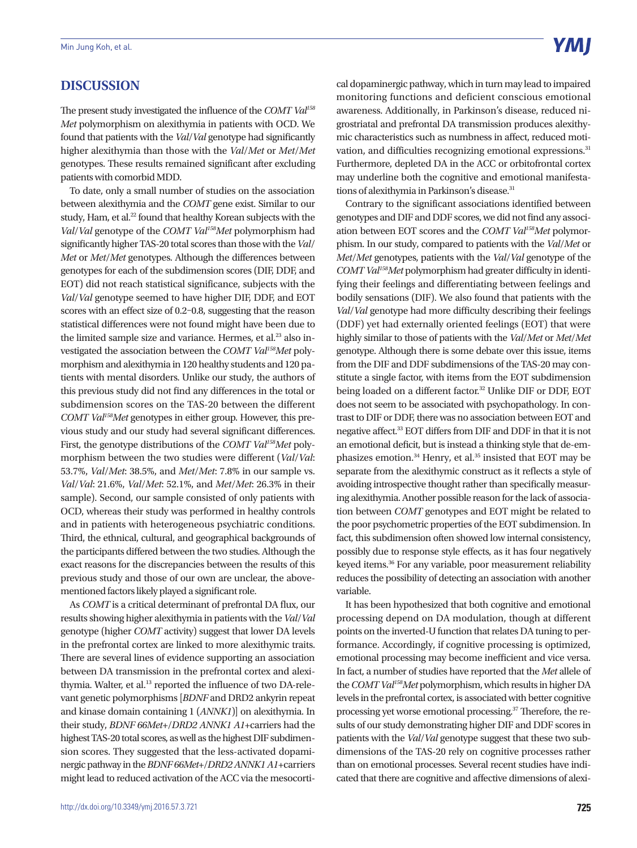The present study investigated the influence of the *COMT Val158 Met* polymorphism on alexithymia in patients with OCD. We found that patients with the *Val*/*Val* genotype had significantly higher alexithymia than those with the *Val*/*Met* or *Met*/*Met* genotypes. These results remained significant after excluding patients with comorbid MDD.

To date, only a small number of studies on the association between alexithymia and the *COMT* gene exist. Similar to our study, Ham, et al.<sup>22</sup> found that healthy Korean subjects with the *Val*/*Val* genotype of the *COMT Val158Met* polymorphism had significantly higher TAS-20 total scores than those with the *Val*/ *Met* or *Met*/*Met* genotypes. Although the differences between genotypes for each of the subdimension scores (DIF, DDF, and EOT) did not reach statistical significance, subjects with the *Val*/*Val* genotype seemed to have higher DIF, DDF, and EOT scores with an effect size of 0.2–0.8, suggesting that the reason statistical differences were not found might have been due to the limited sample size and variance. Hermes, et al.<sup>23</sup> also investigated the association between the *COMT Val158Met* polymorphism and alexithymia in 120 healthy students and 120 patients with mental disorders. Unlike our study, the authors of this previous study did not find any differences in the total or subdimension scores on the TAS-20 between the different *COMT Val158Met* genotypes in either group. However, this previous study and our study had several significant differences. First, the genotype distributions of the *COMT Val158Met* polymorphism between the two studies were different (*Val*/*Val*: 53.7%, *Val*/*Met*: 38.5%, and *Met*/*Met*: 7.8% in our sample vs. *Val*/*Val*: 21.6%, *Val*/*Met*: 52.1%, and *Met*/*Met*: 26.3% in their sample). Second, our sample consisted of only patients with OCD, whereas their study was performed in healthy controls and in patients with heterogeneous psychiatric conditions. Third, the ethnical, cultural, and geographical backgrounds of the participants differed between the two studies. Although the exact reasons for the discrepancies between the results of this previous study and those of our own are unclear, the abovementioned factors likely played a significant role.

As *COMT* is a critical determinant of prefrontal DA flux, our results showing higher alexithymia in patients with the *Val*/*Val* genotype (higher *COMT* activity) suggest that lower DA levels in the prefrontal cortex are linked to more alexithymic traits. There are several lines of evidence supporting an association between DA transmission in the prefrontal cortex and alexithymia. Walter, et al.<sup>13</sup> reported the influence of two DA-relevant genetic polymorphisms [*BDNF* and DRD2 ankyrin repeat and kinase domain containing 1 (*ANNK1*)] on alexithymia. In their study, *BDNF 66Met*+/*DRD2 ANNK1 A1*+carriers had the highest TAS-20 total scores, as well as the highest DIF subdimension scores. They suggested that the less-activated dopaminergic pathway in the *BDNF 66Met*+/*DRD2 ANNK1 A1*+carriers might lead to reduced activation of the ACC via the mesocortical dopaminergic pathway, which in turn may lead to impaired monitoring functions and deficient conscious emotional awareness. Additionally, in Parkinson's disease, reduced nigrostriatal and prefrontal DA transmission produces alexithymic characteristics such as numbness in affect, reduced motivation, and difficulties recognizing emotional expressions.<sup>31</sup> Furthermore, depleted DA in the ACC or orbitofrontal cortex may underline both the cognitive and emotional manifestations of alexithymia in Parkinson's disease.<sup>31</sup>

Contrary to the significant associations identified between genotypes and DIF and DDF scores, we did not find any association between EOT scores and the *COMT Val158Met* polymorphism. In our study, compared to patients with the *Val*/*Met* or *Met*/*Met* genotypes, patients with the *Val*/*Val* genotype of the *COMT Val158Met* polymorphism had greater difficulty in identifying their feelings and differentiating between feelings and bodily sensations (DIF). We also found that patients with the *Val*/*Val* genotype had more difficulty describing their feelings (DDF) yet had externally oriented feelings (EOT) that were highly similar to those of patients with the *Val*/*Met* or *Met*/*Met* genotype. Although there is some debate over this issue, items from the DIF and DDF subdimensions of the TAS-20 may constitute a single factor, with items from the EOT subdimension being loaded on a different factor.<sup>32</sup> Unlike DIF or DDF, EOT does not seem to be associated with psychopathology. In contrast to DIF or DDF, there was no association between EOT and negative affect.33 EOT differs from DIF and DDF in that it is not an emotional deficit, but is instead a thinking style that de-emphasizes emotion.<sup>34</sup> Henry, et al.<sup>35</sup> insisted that EOT may be separate from the alexithymic construct as it reflects a style of avoiding introspective thought rather than specifically measuring alexithymia. Another possible reason for the lack of association between *COMT* genotypes and EOT might be related to the poor psychometric properties of the EOT subdimension. In fact, this subdimension often showed low internal consistency, possibly due to response style effects, as it has four negatively keyed items.36 For any variable, poor measurement reliability reduces the possibility of detecting an association with another variable.

It has been hypothesized that both cognitive and emotional processing depend on DA modulation, though at different points on the inverted-U function that relates DA tuning to performance. Accordingly, if cognitive processing is optimized, emotional processing may become inefficient and vice versa. In fact, a number of studies have reported that the *Met* allele of the *COMT Val158Met* polymorphism, which results in higher DA levels in the prefrontal cortex, is associated with better cognitive processing yet worse emotional processing.37 Therefore, the results of our study demonstrating higher DIF and DDF scores in patients with the *Val*/*Val* genotype suggest that these two subdimensions of the TAS-20 rely on cognitive processes rather than on emotional processes. Several recent studies have indicated that there are cognitive and affective dimensions of alexi-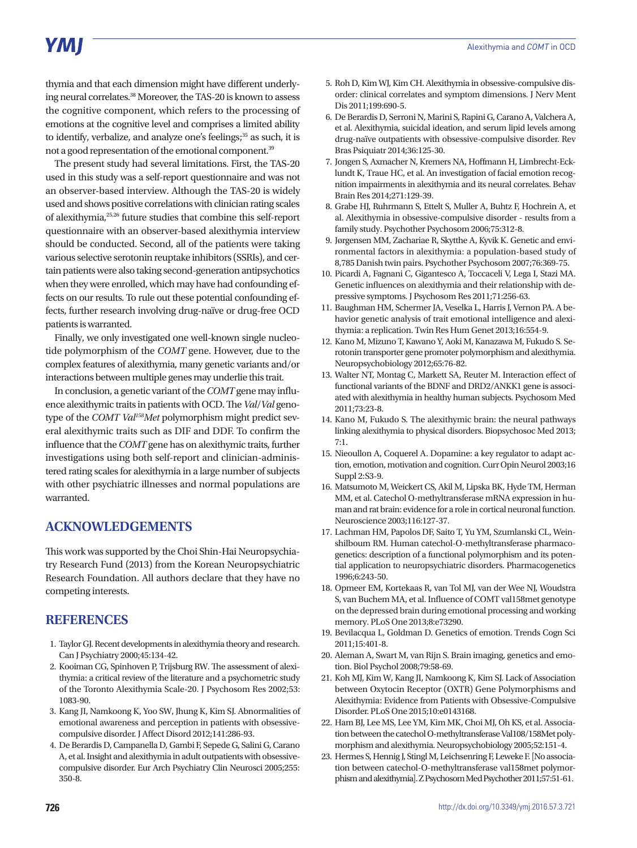# **YMI**

thymia and that each dimension might have different underlying neural correlates.<sup>38</sup> Moreover, the TAS-20 is known to assess the cognitive component, which refers to the processing of emotions at the cognitive level and comprises a limited ability to identify, verbalize, and analyze one's feelings;<sup>35</sup> as such, it is not a good representation of the emotional component.39

The present study had several limitations. First, the TAS-20 used in this study was a self-report questionnaire and was not an observer-based interview. Although the TAS-20 is widely used and shows positive correlations with clinician rating scales of alexithymia,25,26 future studies that combine this self-report questionnaire with an observer-based alexithymia interview should be conducted. Second, all of the patients were taking various selective serotonin reuptake inhibitors (SSRIs), and certain patients were also taking second-generation antipsychotics when they were enrolled, which may have had confounding effects on our results. To rule out these potential confounding effects, further research involving drug-naïve or drug-free OCD patients is warranted.

Finally, we only investigated one well-known single nucleotide polymorphism of the *COMT* gene. However, due to the complex features of alexithymia, many genetic variants and/or interactions between multiple genes may underlie this trait.

In conclusion, a genetic variant of the *COMT* gene may influence alexithymic traits in patients with OCD. The *Val*/*Val* genotype of the *COMT Val158Met* polymorphism might predict several alexithymic traits such as DIF and DDF. To confirm the influence that the *COMT* gene has on alexithymic traits, further investigations using both self-report and clinician-administered rating scales for alexithymia in a large number of subjects with other psychiatric illnesses and normal populations are warranted.

# **ACKNOWLEDGEMENTS**

This work was supported by the Choi Shin-Hai Neuropsychiatry Research Fund (2013) from the Korean Neuropsychiatric Research Foundation. All authors declare that they have no competing interests.

# **REFERENCES**

- 1. Taylor GJ. Recent developments in alexithymia theory and research. Can J Psychiatry 2000;45:134-42.
- 2. Kooiman CG, Spinhoven P, Trijsburg RW. The assessment of alexithymia: a critical review of the literature and a psychometric study of the Toronto Alexithymia Scale-20. J Psychosom Res 2002;53: 1083-90.
- 3. Kang JI, Namkoong K, Yoo SW, Jhung K, Kim SJ. Abnormalities of emotional awareness and perception in patients with obsessivecompulsive disorder. J Affect Disord 2012;141:286-93.
- 4. De Berardis D, Campanella D, Gambi F, Sepede G, Salini G, Carano A, et al. Insight and alexithymia in adult outpatients with obsessivecompulsive disorder. Eur Arch Psychiatry Clin Neurosci 2005;255: 350-8.
- 5. Roh D, Kim WJ, Kim CH. Alexithymia in obsessive-compulsive disorder: clinical correlates and symptom dimensions. J Nerv Ment Dis 2011;199:690-5.
- 6. De Berardis D, Serroni N, Marini S, Rapini G, Carano A, Valchera A, et al. Alexithymia, suicidal ideation, and serum lipid levels among drug-naïve outpatients with obsessive-compulsive disorder. Rev Bras Psiquiatr 2014;36:125-30.
- 7. Jongen S, Axmacher N, Kremers NA, Hoffmann H, Limbrecht-Ecklundt K, Traue HC, et al. An investigation of facial emotion recognition impairments in alexithymia and its neural correlates. Behav Brain Res 2014;271:129-39.
- 8. Grabe HJ, Ruhrmann S, Ettelt S, Muller A, Buhtz F, Hochrein A, et al. Alexithymia in obsessive-compulsive disorder - results from a family study. Psychother Psychosom 2006;75:312-8.
- 9. Jørgensen MM, Zachariae R, Skytthe A, Kyvik K. Genetic and environmental factors in alexithymia: a population-based study of 8,785 Danish twin pairs. Psychother Psychosom 2007;76:369-75.
- 10. Picardi A, Fagnani C, Gigantesco A, Toccaceli V, Lega I, Stazi MA. Genetic influences on alexithymia and their relationship with depressive symptoms. J Psychosom Res 2011;71:256-63.
- 11. Baughman HM, Schermer JA, Veselka L, Harris J, Vernon PA. A behavior genetic analysis of trait emotional intelligence and alexithymia: a replication. Twin Res Hum Genet 2013;16:554-9.
- 12. Kano M, Mizuno T, Kawano Y, Aoki M, Kanazawa M, Fukudo S. Serotonin transporter gene promoter polymorphism and alexithymia. Neuropsychobiology 2012;65:76-82.
- 13. Walter NT, Montag C, Markett SA, Reuter M. Interaction effect of functional variants of the BDNF and DRD2/ANKK1 gene is associated with alexithymia in healthy human subjects. Psychosom Med 2011;73:23-8.
- 14. Kano M, Fukudo S. The alexithymic brain: the neural pathways linking alexithymia to physical disorders. Biopsychosoc Med 2013; 7:1.
- 15. Nieoullon A, Coquerel A. Dopamine: a key regulator to adapt action, emotion, motivation and cognition. Curr Opin Neurol 2003;16 Suppl 2:S3-9.
- 16. Matsumoto M, Weickert CS, Akil M, Lipska BK, Hyde TM, Herman MM, et al. Catechol O-methyltransferase mRNA expression in human and rat brain: evidence for a role in cortical neuronal function. Neuroscience 2003;116:127-37.
- 17. Lachman HM, Papolos DF, Saito T, Yu YM, Szumlanski CL, Weinshilboum RM. Human catechol-O-methyltransferase pharmacogenetics: description of a functional polymorphism and its potential application to neuropsychiatric disorders. Pharmacogenetics 1996;6:243-50.
- 18. Opmeer EM, Kortekaas R, van Tol MJ, van der Wee NJ, Woudstra S, van Buchem MA, et al. Influence of COMT val158met genotype on the depressed brain during emotional processing and working memory. PLoS One 2013;8:e73290.
- 19. Bevilacqua L, Goldman D. Genetics of emotion. Trends Cogn Sci 2011;15:401-8.
- 20. Aleman A, Swart M, van Rijn S. Brain imaging, genetics and emotion. Biol Psychol 2008;79:58-69.
- 21. Koh MJ, Kim W, Kang JI, Namkoong K, Kim SJ. Lack of Association between Oxytocin Receptor (OXTR) Gene Polymorphisms and Alexithymia: Evidence from Patients with Obsessive-Compulsive Disorder. PLoS One 2015;10:e0143168.
- 22. Ham BJ, Lee MS, Lee YM, Kim MK, Choi MJ, Oh KS, et al. Association between the catechol O-methyltransferase Val108/158Met polymorphism and alexithymia. Neuropsychobiology 2005;52:151-4.
- 23. Hermes S, Hennig J, Stingl M, Leichsenring F, Leweke F. [No association between catechol-O-methyltransferase val158met polymorphism and alexithymia]. Z Psychosom Med Psychother 2011;57:51-61.